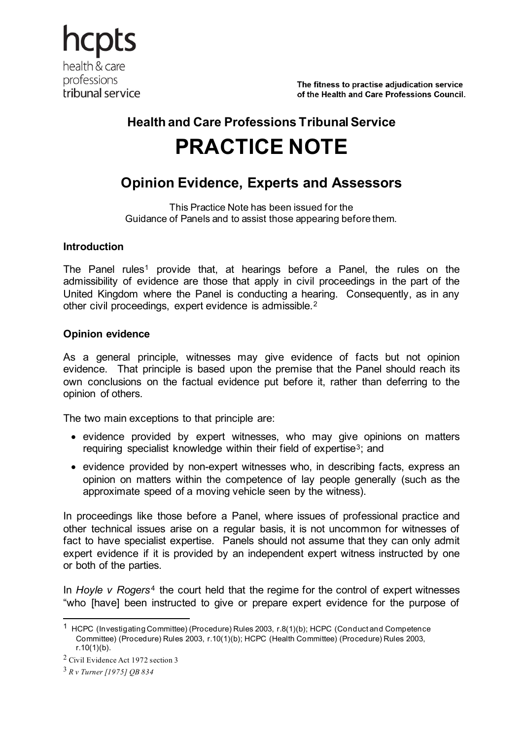hcpts health & care professions tribunal service

The fitness to practise adiudication service of the Health and Care Professions Council.

# **Health and Care Professions Tribunal Service PRACTICE NOTE**

# **Opinion Evidence, Experts and Assessors**

This Practice Note has been issued for the Guidance of Panels and to assist those appearing before them.

# **Introduction**

The Panel rules<sup>[1](#page-0-0)</sup> provide that, at hearings before a Panel, the rules on the admissibility of evidence are those that apply in civil proceedings in the part of the United Kingdom where the Panel is conducting a hearing. Consequently, as in any other civil proceedings, expert evidence is admissible.[2](#page-0-1)

# **Opinion evidence**

As a general principle, witnesses may give evidence of facts but not opinion evidence. That principle is based upon the premise that the Panel should reach its own conclusions on the factual evidence put before it, rather than deferring to the opinion of others.

The two main exceptions to that principle are:

- evidence provided by expert witnesses, who may give opinions on matters requiring specialist knowledge within their field of expertise[3](#page-0-2); and
- evidence provided by non-expert witnesses who, in describing facts, express an opinion on matters within the competence of lay people generally (such as the approximate speed of a moving vehicle seen by the witness).

In proceedings like those before a Panel, where issues of professional practice and other technical issues arise on a regular basis, it is not uncommon for witnesses of fact to have specialist expertise. Panels should not assume that they can only admit expert evidence if it is provided by an independent expert witness instructed by one or both of the parties.

In *Hoyle v Rogers<sup>[4](#page-0-3)</sup>* the court held that the regime for the control of expert witnesses "who [have] been instructed to give or prepare expert evidence for the purpose of

<span id="page-0-0"></span><sup>1</sup> HCPC (Investigating Committee) (Procedure) Rules 2003, r.8(1)(b); HCPC (Conduct and Competence Committee) (Procedure) Rules 2003, r.10(1)(b); HCPC (Health Committee) (Procedure) Rules 2003,  $r.10(1)(b)$ .

<span id="page-0-3"></span><span id="page-0-1"></span><sup>2</sup> Civil Evidence Act 1972 section 3

<span id="page-0-2"></span><sup>3</sup> *R v Turner [1975] QB 834*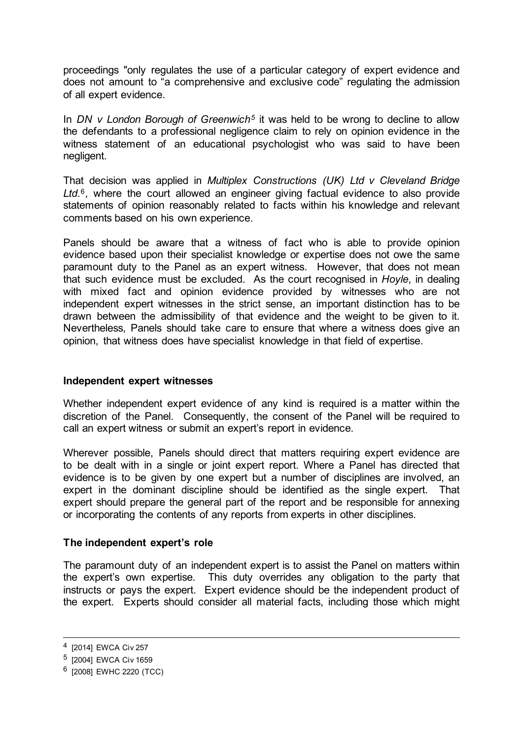proceedings "only regulates the use of a particular category of expert evidence and does not amount to "a comprehensive and exclusive code" regulating the admission of all expert evidence.

In *DN v London Borough of Greenwich[5](#page-1-0)* it was held to be wrong to decline to allow the defendants to a professional negligence claim to rely on opinion evidence in the witness statement of an educational psychologist who was said to have been negligent.

That decision was applied in *Multiplex Constructions (UK) Ltd v Cleveland Bridge Ltd*.[6](#page-1-1), where the court allowed an engineer giving factual evidence to also provide statements of opinion reasonably related to facts within his knowledge and relevant comments based on his own experience.

Panels should be aware that a witness of fact who is able to provide opinion evidence based upon their specialist knowledge or expertise does not owe the same paramount duty to the Panel as an expert witness. However, that does not mean that such evidence must be excluded. As the court recognised in *Hoyle*, in dealing with mixed fact and opinion evidence provided by witnesses who are not independent expert witnesses in the strict sense, an important distinction has to be drawn between the admissibility of that evidence and the weight to be given to it. Nevertheless, Panels should take care to ensure that where a witness does give an opinion, that witness does have specialist knowledge in that field of expertise.

# **Independent expert witnesses**

Whether independent expert evidence of any kind is required is a matter within the discretion of the Panel. Consequently, the consent of the Panel will be required to call an expert witness or submit an expert's report in evidence.

Wherever possible, Panels should direct that matters requiring expert evidence are to be dealt with in a single or joint expert report. Where a Panel has directed that evidence is to be given by one expert but a number of disciplines are involved, an expert in the dominant discipline should be identified as the single expert. That expert should prepare the general part of the report and be responsible for annexing or incorporating the contents of any reports from experts in other disciplines.

# **The independent expert's role**

The paramount duty of an independent expert is to assist the Panel on matters within the expert's own expertise. This duty overrides any obligation to the party that instructs or pays the expert. Expert evidence should be the independent product of the expert. Experts should consider all material facts, including those which might

<sup>4</sup> [2014] EWCA Civ 257

<span id="page-1-0"></span><sup>5</sup> [2004] EWCA Civ 1659

<span id="page-1-1"></span><sup>6 [2008]</sup> EWHC 2220 (TCC)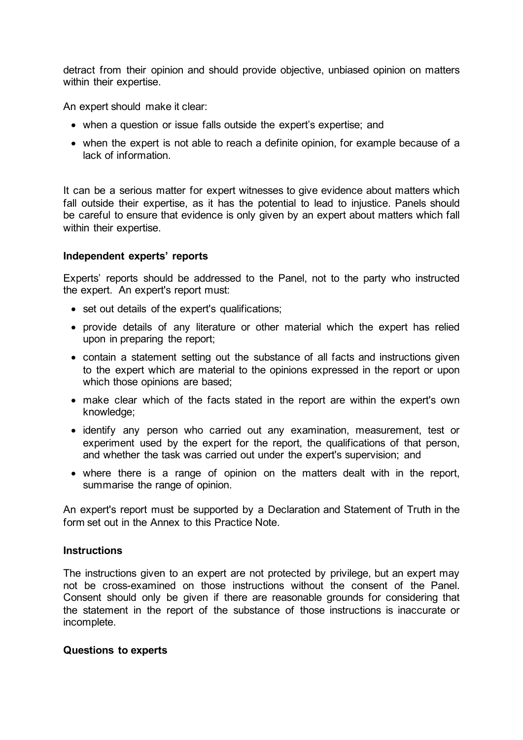detract from their opinion and should provide objective, unbiased opinion on matters within their expertise.

An expert should make it clear:

- when a question or issue falls outside the expert's expertise; and
- when the expert is not able to reach a definite opinion, for example because of a lack of information.

It can be a serious matter for expert witnesses to give evidence about matters which fall outside their expertise, as it has the potential to lead to injustice. Panels should be careful to ensure that evidence is only given by an expert about matters which fall within their expertise.

### **Independent experts' reports**

Experts' reports should be addressed to the Panel, not to the party who instructed the expert. An expert's report must:

- set out details of the expert's qualifications;
- provide details of any literature or other material which the expert has relied upon in preparing the report;
- contain a statement setting out the substance of all facts and instructions given to the expert which are material to the opinions expressed in the report or upon which those opinions are based;
- make clear which of the facts stated in the report are within the expert's own knowledge;
- identify any person who carried out any examination, measurement, test or experiment used by the expert for the report, the qualifications of that person, and whether the task was carried out under the expert's supervision; and
- where there is a range of opinion on the matters dealt with in the report, summarise the range of opinion.

An expert's report must be supported by a Declaration and Statement of Truth in the form set out in the Annex to this Practice Note.

#### **Instructions**

The instructions given to an expert are not protected by privilege, but an expert may not be cross-examined on those instructions without the consent of the Panel. Consent should only be given if there are reasonable grounds for considering that the statement in the report of the substance of those instructions is inaccurate or incomplete.

#### **Questions to experts**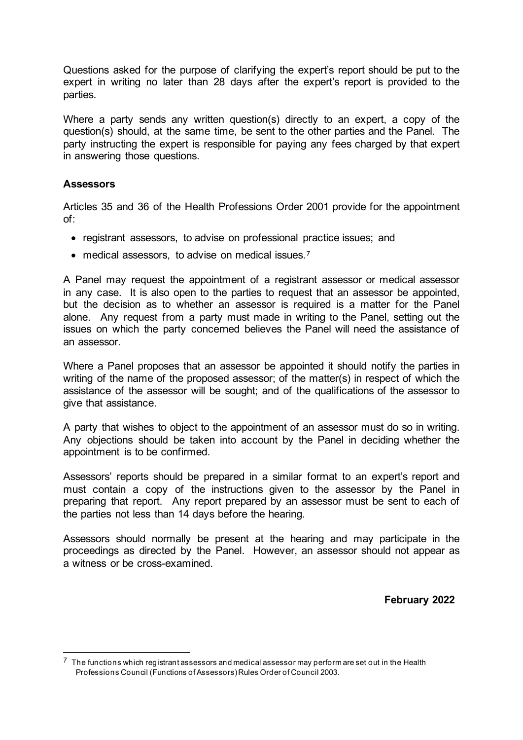Questions asked for the purpose of clarifying the expert's report should be put to the expert in writing no later than 28 days after the expert's report is provided to the parties.

Where a party sends any written question(s) directly to an expert, a copy of the question(s) should, at the same time, be sent to the other parties and the Panel. The party instructing the expert is responsible for paying any fees charged by that expert in answering those questions.

# **Assessors**

Articles 35 and 36 of the Health Professions Order 2001 provide for the appointment of:

- registrant assessors, to advise on professional practice issues; and
- medical assessors, to advise on medical issues.<sup>[7](#page-3-0)</sup>

A Panel may request the appointment of a registrant assessor or medical assessor in any case. It is also open to the parties to request that an assessor be appointed, but the decision as to whether an assessor is required is a matter for the Panel alone. Any request from a party must made in writing to the Panel, setting out the issues on which the party concerned believes the Panel will need the assistance of an assessor.

Where a Panel proposes that an assessor be appointed it should notify the parties in writing of the name of the proposed assessor; of the matter(s) in respect of which the assistance of the assessor will be sought; and of the qualifications of the assessor to give that assistance.

A party that wishes to object to the appointment of an assessor must do so in writing. Any objections should be taken into account by the Panel in deciding whether the appointment is to be confirmed.

Assessors' reports should be prepared in a similar format to an expert's report and must contain a copy of the instructions given to the assessor by the Panel in preparing that report. Any report prepared by an assessor must be sent to each of the parties not less than 14 days before the hearing.

Assessors should normally be present at the hearing and may participate in the proceedings as directed by the Panel. However, an assessor should not appear as a witness or be cross-examined.

**February 2022**

<span id="page-3-0"></span> $7$  The functions which registrant assessors and medical assessor may perform are set out in the Health Professions Council (Functions of Assessors)Rules Order of Council 2003.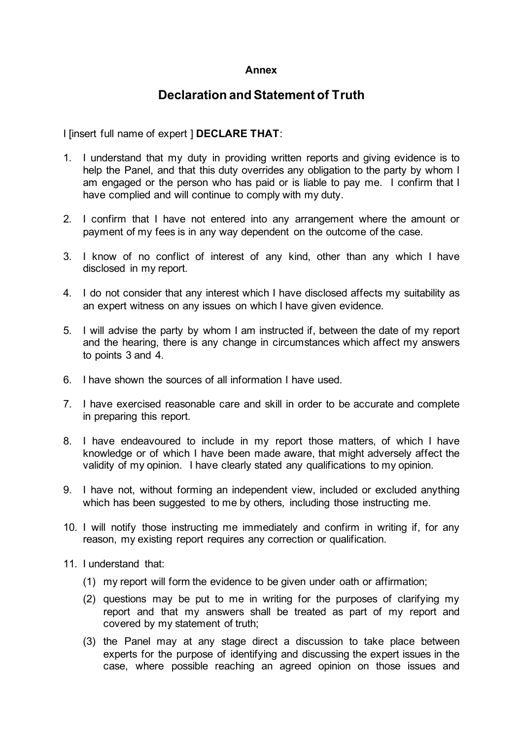## **Annex**

# **Declaration and Statement of Truth**

I [insert full name of expert ] **DECLARE THAT**:

- 1. I understand that my duty in providing written reports and giving evidence is to help the Panel, and that this duty overrides any obligation to the party by whom I am engaged or the person who has paid or is liable to pay me. I confirm that I have complied and will continue to comply with my duty.
- 2. I confirm that I have not entered into any arrangement where the amount or payment of my fees is in any way dependent on the outcome of the case.
- 3. I know of no conflict of interest of any kind, other than any which I have disclosed in my report.
- 4. I do not consider that any interest which I have disclosed affects my suitability as an expert witness on any issues on which I have given evidence.
- 5. I will advise the party by whom I am instructed if, between the date of my report and the hearing, there is any change in circumstances which affect my answers to points 3 and 4.
- 6. I have shown the sources of all information I have used.
- 7. I have exercised reasonable care and skill in order to be accurate and complete in preparing this report.
- 8. I have endeavoured to include in my report those matters, of which I have knowledge or of which I have been made aware, that might adversely affect the validity of my opinion. I have clearly stated any qualifications to my opinion.
- 9. I have not, without forming an independent view, included or excluded anything which has been suggested to me by others, including those instructing me.
- 10. I will notify those instructing me immediately and confirm in writing if, for any reason, my existing report requires any correction or qualification.
- 11. I understand that:
	- (1) my report will form the evidence to be given under oath or affirmation;
	- (2) questions may be put to me in writing for the purposes of clarifying my report and that my answers shall be treated as part of my report and covered by my statement of truth;
	- (3) the Panel may at any stage direct a discussion to take place between experts for the purpose of identifying and discussing the expert issues in the case, where possible reaching an agreed opinion on those issues and